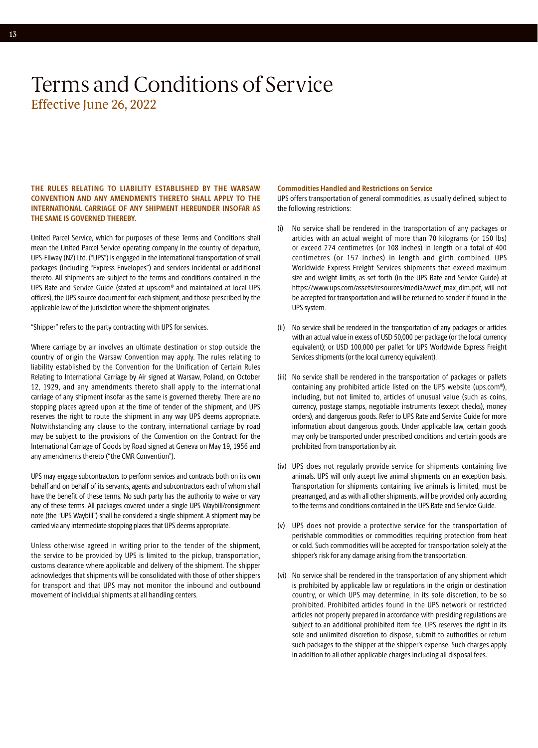### **THE RULES RELATING TO LIABILITY ESTABLISHED BY THE WARSAW CONVENTION AND ANY AMENDMENTS THERETO SHALL APPLY TO THE INTERNATIONAL CARRIAGE OF ANY SHIPMENT HEREUNDER INSOFAR AS THE SAME IS GOVERNED THEREBY.**

United Parcel Service, which for purposes of these Terms and Conditions shall mean the United Parcel Service operating company in the country of departure, UPS-Fliway (NZ) Ltd. ("UPS") is engaged in the international transportation of small packages (including "Express Envelopes") and services incidental or additional thereto. All shipments are subject to the terms and conditions contained in the UPS Rate and Service Guide (stated at [ups.com](http://ups.com)® and maintained at local UPS offices), the UPS source document for each shipment, and those prescribed by the applicable law of the jurisdiction where the shipment originates.

"Shipper" refers to the party contracting with UPS for services.

Where carriage by air involves an ultimate destination or stop outside the country of origin the Warsaw Convention may apply. The rules relating to liability established by the Convention for the Unification of Certain Rules Relating to International Carriage by Air signed at Warsaw, Poland, on October 12, 1929, and any amendments thereto shall apply to the international carriage of any shipment insofar as the same is governed thereby. There are no stopping places agreed upon at the time of tender of the shipment, and UPS reserves the right to route the shipment in any way UPS deems appropriate. Notwithstanding any clause to the contrary, international carriage by road may be subject to the provisions of the Convention on the Contract for the International Carriage of Goods by Road signed at Geneva on May 19, 1956 and any amendments thereto ("the CMR Convention").

UPS may engage subcontractors to perform services and contracts both on its own behalf and on behalf of its servants, agents and subcontractors each of whom shall have the benefit of these terms. No such party has the authority to waive or vary any of these terms. All packages covered under a single UPS Waybill/consignment note (the "UPS Waybill") shall be considered a single shipment. A shipment may be carried via any intermediate stopping places that UPS deems appropriate.

Unless otherwise agreed in writing prior to the tender of the shipment, the service to be provided by UPS is limited to the pickup, transportation, customs clearance where applicable and delivery of the shipment. The shipper acknowledges that shipments will be consolidated with those of other shippers for transport and that UPS may not monitor the inbound and outbound movement of individual shipments at all handling centers.

### **Commodities Handled and Restrictions on Service**

UPS offers transportation of general commodities, as usually defined, subject to the following restrictions:

- (i) No service shall be rendered in the transportation of any packages or articles with an actual weight of more than 70 kilograms (or 150 lbs) or exceed 274 centimetres (or 108 inches) in length or a total of 400 centimetres (or 157 inches) in length and girth combined. UPS Worldwide Express Freight Services shipments that exceed maximum size and weight limits, as set forth (in the UPS Rate and Service Guide) at [https://www.ups.com/assets/resources/media/wwef\\_max\\_dim.pdf,](https://www.ups.com/assets/resources/media/wwef_max_dim.pdf) will not be accepted for transportation and will be returned to sender if found in the UPS system.
- (ii) No service shall be rendered in the transportation of any packages or articles with an actual value in excess of USD 50,000 per package (or the local currency equivalent); or USD 100,000 per pallet for UPS Worldwide Express Freight Services shipments (or the local currency equivalent).
- (iii) No service shall be rendered in the transportation of packages or pallets containing any prohibited article listed on the UPS website (ups.com®), including, but not limited to, articles of unusual value (such as coins, currency, postage stamps, negotiable instruments (except checks), money orders), and dangerous goods. Refer to UPS Rate and Service Guide for more information about dangerous goods. Under applicable law, certain goods may only be transported under prescribed conditions and certain goods are prohibited from transportation by air.
- (iv) UPS does not regularly provide service for shipments containing live animals. UPS will only accept live animal shipments on an exception basis. Transportation for shipments containing live animals is limited, must be prearranged, and as with all other shipments, will be provided only according to the terms and conditions contained in the UPS Rate and Service Guide.
- (v) UPS does not provide a protective service for the transportation of perishable commodities or commodities requiring protection from heat or cold. Such commodities will be accepted for transportation solely at the shipper's risk for any damage arising from the transportation.
- (vi) No service shall be rendered in the transportation of any shipment which is prohibited by applicable law or regulations in the origin or destination country, or which UPS may determine, in its sole discretion, to be so prohibited. Prohibited articles found in the UPS network or restricted articles not properly prepared in accordance with presiding regulations are subject to an additional prohibited item fee. UPS reserves the right in its sole and unlimited discretion to dispose, submit to authorities or return such packages to the shipper at the shipper's expense. Such charges apply in addition to all other applicable charges including all disposal fees.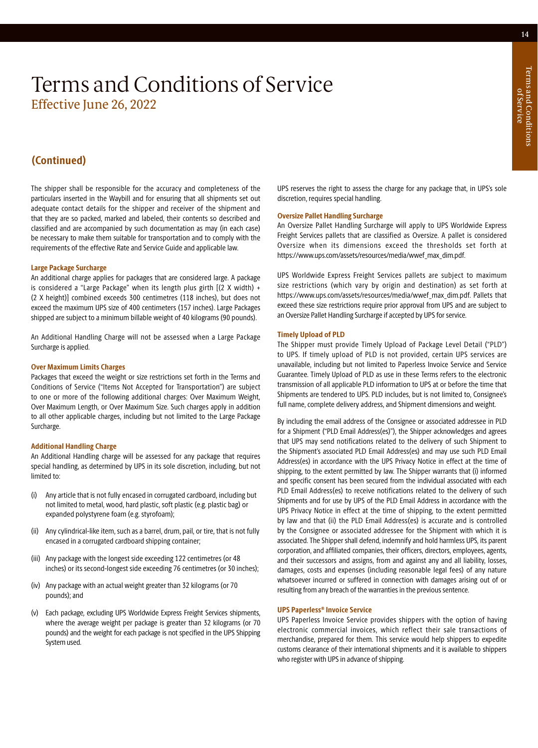### **(Continued)**

The shipper shall be responsible for the accuracy and completeness of the particulars inserted in the Waybill and for ensuring that all shipments set out adequate contact details for the shipper and receiver of the shipment and that they are so packed, marked and labeled, their contents so described and classified and are accompanied by such documentation as may (in each case) be necessary to make them suitable for transportation and to comply with the requirements of the effective Rate and Service Guide and applicable law.

### **Large Package Surcharge**

An additional charge applies for packages that are considered large. A package is considered a "Large Package" when its length plus girth [(2 X width) + (2 X height)] combined exceeds 300 centimetres (118 inches), but does not exceed the maximum UPS size of 400 centimeters (157 inches). Large Packages shipped are subject to a minimum billable weight of 40 kilograms (90 pounds).

An Additional Handling Charge will not be assessed when a Large Package Surcharge is applied.

### **Over Maximum Limits Charges**

Packages that exceed the weight or size restrictions set forth in the Terms and Conditions of Service ("Items Not Accepted for Transportation") are subject to one or more of the following additional charges: Over Maximum Weight, Over Maximum Length, or Over Maximum Size. Such charges apply in addition to all other applicable charges, including but not limited to the Large Package Surcharge.

### **Additional Handling Charge**

An Additional Handling charge will be assessed for any package that requires special handling, as determined by UPS in its sole discretion, including, but not limited to:

- (i) Any article that is not fully encased in corrugated cardboard, including but not limited to metal, wood, hard plastic, soft plastic (e.g. plastic bag) or expanded polystyrene foam (e.g. styrofoam);
- (ii) Any cylindrical-like item, such as a barrel, drum, pail, or tire, that is not fully encased in a corrugated cardboard shipping container;
- (iii) Any package with the longest side exceeding 122 centimetres (or 48 inches) or its second-longest side exceeding 76 centimetres (or 30 inches);
- (iv) Any package with an actual weight greater than 32 kilograms (or 70 pounds); and
- (v) Each package, excluding UPS Worldwide Express Freight Services shipments, where the average weight per package is greater than 32 kilograms (or 70 pounds) and the weight for each package is not specified in the UPS Shipping System used.

UPS reserves the right to assess the charge for any package that, in UPS's sole discretion, requires special handling.

### **Oversize Pallet Handling Surcharge**

An Oversize Pallet Handling Surcharge will apply to UPS Worldwide Express Freight Services pallets that are classified as Oversize. A pallet is considered Oversize when its dimensions exceed the thresholds set forth at [https://www.ups.com/assets/resources/media/wwef\\_max\\_dim.pdf](https://www.ups.com/assets/resources/media/wwef_max_dim.pdf).

UPS Worldwide Express Freight Services pallets are subject to maximum size restrictions (which vary by origin and destination) as set forth at [https://www.ups.com/assets/resources/media/wwef\\_max\\_dim.pdf.](https://www.ups.com/media/en/wwef_max_dim.pdf) Pallets that exceed these size restrictions require prior approval from UPS and are subject to an Oversize Pallet Handling Surcharge if accepted by UPS for service.

### **Timely Upload of PLD**

The Shipper must provide Timely Upload of Package Level Detail ("PLD") to UPS. If timely upload of PLD is not provided, certain UPS services are unavailable, including but not limited to Paperless Invoice Service and Service Guarantee. Timely Upload of PLD as use in these Terms refers to the electronic transmission of all applicable PLD information to UPS at or before the time that Shipments are tendered to UPS. PLD includes, but is not limited to, Consignee's full name, complete delivery address, and Shipment dimensions and weight.

By including the email address of the Consignee or associated addressee in PLD for a Shipment ("PLD Email Address(es)"), the Shipper acknowledges and agrees that UPS may send notifications related to the delivery of such Shipment to the Shipment's associated PLD Email Address(es) and may use such PLD Email Address(es) in accordance with the UPS Privacy Notice in effect at the time of shipping, to the extent permitted by law. The Shipper warrants that (i) informed and specific consent has been secured from the individual associated with each PLD Email Address(es) to receive notifications related to the delivery of such Shipments and for use by UPS of the PLD Email Address in accordance with the UPS Privacy Notice in effect at the time of shipping, to the extent permitted by law and that (ii) the PLD Email Address(es) is accurate and is controlled by the Consignee or associated addressee for the Shipment with which it is associated. The Shipper shall defend, indemnify and hold harmless UPS, its parent corporation, and affiliated companies, their officers, directors, employees, agents, and their successors and assigns, from and against any and all liability, losses, damages, costs and expenses (including reasonable legal fees) of any nature whatsoever incurred or suffered in connection with damages arising out of or resulting from any breach of the warranties in the previous sentence.

### **UPS Paperless® Invoice Service**

UPS Paperless Invoice Service provides shippers with the option of having electronic commercial invoices, which reflect their sale transactions of merchandise, prepared for them. This service would help shippers to expedite customs clearance of their international shipments and it is available to shippers who register with UPS in advance of shipping.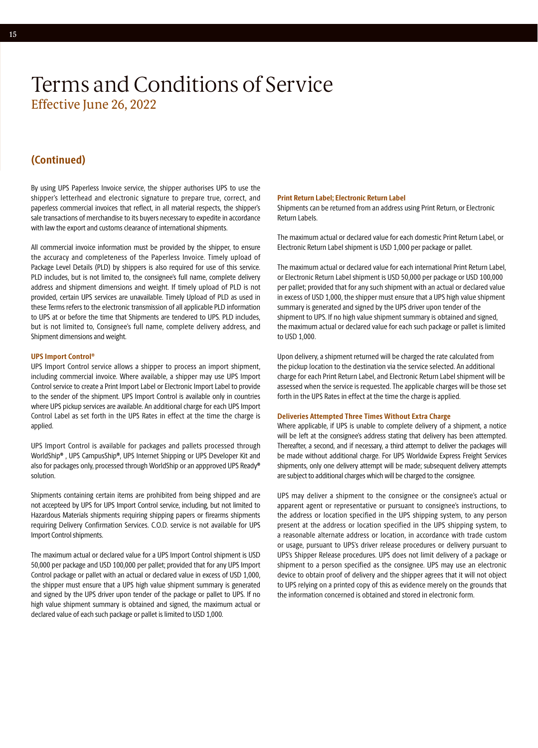### **(Continued)**

By using UPS Paperless Invoice service, the shipper authorises UPS to use the shipper's letterhead and electronic signature to prepare true, correct, and paperless commercial invoices that reflect, in all material respects, the shipper's sale transactions of merchandise to its buyers necessary to expedite in accordance with law the export and customs clearance of international shipments.

All commercial invoice information must be provided by the shipper, to ensure the accuracy and completeness of the Paperless Invoice. Timely upload of Package Level Details (PLD) by shippers is also required for use of this service. PLD includes, but is not limited to, the consignee's full name, complete delivery address and shipment dimensions and weight. If timely upload of PLD is not provided, certain UPS services are unavailable. Timely Upload of PLD as used in these Terms refers to the electronic transmission of all applicable PLD information to UPS at or before the time that Shipments are tendered to UPS. PLD includes, but is not limited to, Consignee's full name, complete delivery address, and Shipment dimensions and weight.

### **UPS Import Control®**

UPS Import Control service allows a shipper to process an import shipment, including commercial invoice. Where available, a shipper may use UPS Import Control service to create a Print Import Label or Electronic Import Label to provide to the sender of the shipment. UPS Import Control is available only in countries where UPS pickup services are available. An additional charge for each UPS Import Control Label as set forth in the UPS Rates in effect at the time the charge is applied.

UPS Import Control is available for packages and pallets processed through WorldShip**®** , UPS CampusShip**®**, UPS Internet Shipping or UPS Developer Kit and also for packages only, processed through WorldShip or an appproved UPS Ready**®**  solution.

Shipments containing certain items are prohibited from being shipped and are not accepteed by UPS for UPS Import Control service, including, but not limited to Hazardous Materials shipments requiring shipping papers or firearms shipments requiring Delivery Confirmation Services. C.O.D. service is not available for UPS Import Control shipments.

The maximum actual or declared value for a UPS Import Control shipment is USD 50,000 per package and USD 100,000 per pallet; provided that for any UPS Import Control package or pallet with an actual or declared value in excess of USD 1,000, the shipper must ensure that a UPS high value shipment summary is generated and signed by the UPS driver upon tender of the package or pallet to UPS. If no high value shipment summary is obtained and signed, the maximum actual or declared value of each such package or pallet is limited to USD 1,000.

### **Print Return Label; Electronic Return Label**

Shipments can be returned from an address using Print Return, or Electronic Return Labels.

The maximum actual or declared value for each domestic Print Return Label, or Electronic Return Label shipment is USD 1,000 per package or pallet.

The maximum actual or declared value for each international Print Return Label, or Electronic Return Label shipment is USD 50,000 per package or USD 100,000 per pallet; provided that for any such shipment with an actual or declared value in excess of USD 1,000, the shipper must ensure that a UPS high value shipment summary is generated and signed by the UPS driver upon tender of the shipment to UPS. If no high value shipment summary is obtained and signed, the maximum actual or declared value for each such package or pallet is limited to USD 1,000.

Upon delivery, a shipment returned will be charged the rate calculated from the pickup location to the destination via the service selected. An additional charge for each Print Return Label, and Electronic Return Label shipment will be assessed when the service is requested. The applicable charges will be those set forth in the UPS Rates in effect at the time the charge is applied.

### **Deliveries Attempted Three Times Without Extra Charge**

Where applicable, if UPS is unable to complete delivery of a shipment, a notice will be left at the consignee's address stating that delivery has been attempted. Thereafter, a second, and if necessary, a third attempt to deliver the packages will be made without additional charge. For UPS Worldwide Express Freight Services shipments, only one delivery attempt will be made; subsequent delivery attempts are subject to additional charges which will be charged to the consignee.

UPS may deliver a shipment to the consignee or the consignee's actual or apparent agent or representative or pursuant to consignee's instructions, to the address or location specified in the UPS shipping system, to any person present at the address or location specified in the UPS shipping system, to a reasonable alternate address or location, in accordance with trade custom or usage, pursuant to UPS's driver release procedures or delivery pursuant to UPS's Shipper Release procedures. UPS does not limit delivery of a package or shipment to a person specified as the consignee. UPS may use an electronic device to obtain proof of delivery and the shipper agrees that it will not object to UPS relying on a printed copy of this as evidence merely on the grounds that the information concerned is obtained and stored in electronic form.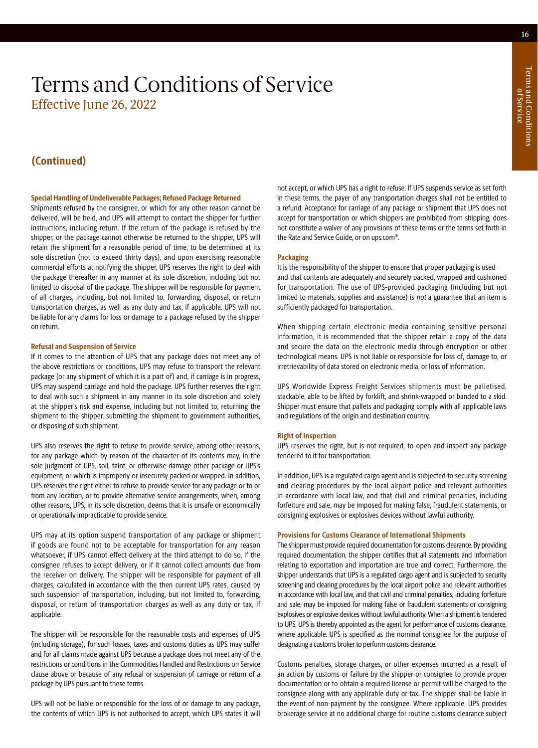### **(Continued)**

### **Special Handling of Undeliverable Packages; Refused Package Returned**

Shipments refused by the consignee, or which for any other reason cannot be delivered, will be held, and UPS will attempt to contact the shipper for further instructions, including return. If the return of the package is refused by the shipper, or the package cannot otherwise be returned to the shipper, UPS will retain the shipment for a reasonable period of time, to be determined at its sole discretion (not to exceed thirty days), and upon exercising reasonable commercial efforts at notifying the shipper, UPS reserves the right to deal with the package thereafter in any manner at its sole discretion, including but not limited to disposal of the package. The shipper will be responsible for payment of all charges, including, but not limited to, forwarding, disposal, or return transportation charges, as well as any duty and tax, if applicable. UPS will not be liable for any claims for loss or damage to a package refused by the shipper on return.

### **Refusal and Suspension of Service**

If it comes to the attention of UPS that any package does not meet any of the above restrictions or conditions, UPS may refuse to transport the relevant package (or any shipment of which it is a part of) and, if carriage is in progress, UPS may suspend carriage and hold the package. UPS further reserves the right to deal with such a shipment in any manner in its sole discretion and solely at the shipper's risk and expense, including but not limited to, returning the shipment to the shipper, submitting the shipment to government authorities, or disposing of such shipment.

UPS also reserves the right to refuse to provide service, among other reasons, for any package which by reason of the character of its contents may, in the sole judgment of UPS, soil, taint, or otherwise damage other package or UPS's equipment, or which is improperly or insecurely packed or wrapped. In addition, UPS reserves the right either to refuse to provide service for any package or to or from any location, or to provide alternative service arrangements, when, among other reasons, UPS, in its sole discretion, deems that it is unsafe or economically or operationally impracticable to provide service.

UPS may at its option suspend transportation of any package or shipment if goods are found not to be acceptable for transportation for any reason whatsoever, if UPS cannot effect delivery at the third attempt to do so, if the consignee refuses to accept delivery, or if it cannot collect amounts due from the receiver on delivery. The shipper will be responsible for payment of all charges, calculated in accordance with the then current UPS rates, caused by such suspension of transportation, including, but not limited to, forwarding, disposal, or return of transportation charges as well as any duty or tax, if applicable.

The shipper will be responsible for the reasonable costs and expenses of UPS (including storage), for such losses, taxes and customs duties as UPS may suffer and for all claims made against UPS because a package does not meet any of the restrictions or conditions in the Commodities Handled and Restrictions on Service clause above or because of any refusal or suspension of carriage or return of a package by UPS pursuant to these terms.

UPS will not be liable or responsible for the loss of or damage to any package, the contents of which UPS is not authorised to accept, which UPS states it will

not accept, or which UPS has a right to refuse. If UPS suspends service as set forth in these terms, the payer of any transportation charges shall not be entitled to a refund. Acceptance for carriage of any package or shipment that UPS does not accept for transportation or which shippers are prohibited from shipping, does not constitute a waiver of any provisions of these terms or the terms set forth in the Rate and Service Guide, or on ups.com®.

### **Packaging**

It is the responsibility of the shipper to ensure that proper packaging is used and that contents are adequately and securely packed, wrapped and cushioned for transportation. The use of UPS-provided packaging (including but not limited to materials, supplies and assistance) is not a guarantee that an item is sufficiently packaged for transportation.

When shipping certain electronic media containing sensitive personal information, it is recommended that the shipper retain a copy of the data and secure the data on the electronic media through encryption or other technological means. UPS is not liable or responsible for loss of, damage to, or irretrievability of data stored on electronic media, or loss of information.

UPS Worldwide Express Freight Services shipments must be palletised, stackable, able to be lifted by forklift, and shrink-wrapped or banded to a skid. Shipper must ensure that pallets and packaging comply with all applicable laws and regulations of the origin and destination country.

#### **Right of Inspection**

UPS reserves the right, but is not required, to open and inspect any package tendered to it for transportation.

In addition, UPS is a regulated cargo agent and is subjected to security screening and clearing procedures by the local airport police and relevant authorities in accordance with local law, and that civil and criminal penalties, including forfeiture and sale, may be imposed for making false, fraudulent statements, or consigning explosives or explosives devices without lawful authority.

#### **Provisions for Customs Clearance of International Shipments**

The shipper must provide required documentation for customs clearance. By providing required documentation, the shipper certifies that all statements and information relating to exportation and importation are true and correct. Furthermore, the shipper understands that UPS is a regulated cargo agent and is subjected to security screening and clearing procedures by the local airport police and relevant authorities in accordance with local law, and that civil and criminal penalties, including forfeiture and sale, may be imposed for making false or fraudulent statements or consigning explosives or explosive devices without lawful authority. When a shipment is tendered to UPS, UPS is thereby appointed as the agent for performance of customs clearance, where applicable. UPS is specified as the nominal consignee for the purpose of designating a customs broker to perform customs clearance.

Customs penalties, storage charges, or other expenses incurred as a result of an action by customs or failure by the shipper or consignee to provide proper documentation or to obtain a required license or permit will be charged to the consignee along with any applicable duty or tax. The shipper shall be liable in the event of non-payment by the consignee. Where applicable, UPS provides brokerage service at no additional charge for routine customs clearance subject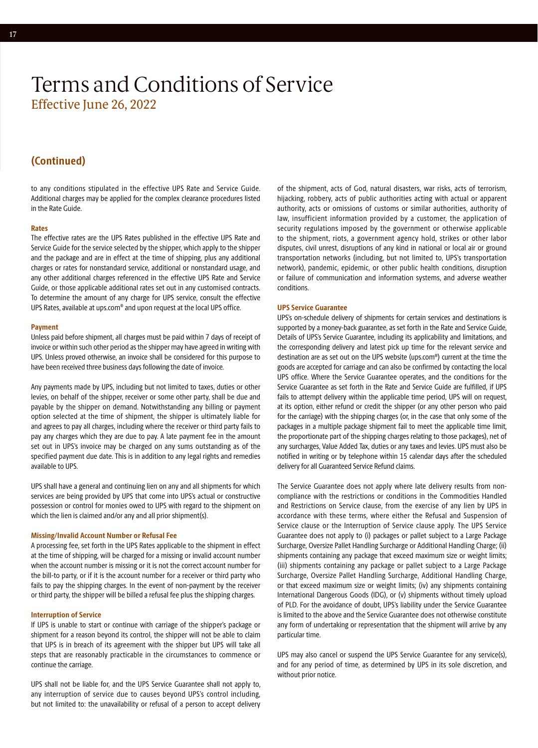### **(Continued)**

to any conditions stipulated in the effective UPS Rate and Service Guide. Additional charges may be applied for the complex clearance procedures listed in the Rate Guide.

### **Rates**

The effective rates are the UPS Rates published in the effective UPS Rate and Service Guide for the service selected by the shipper, which apply to the shipper and the package and are in effect at the time of shipping, plus any additional charges or rates for nonstandard service, additional or nonstandard usage, and any other additional charges referenced in the effective UPS Rate and Service Guide, or those applicable additional rates set out in any customised contracts. To determine the amount of any charge for UPS service, consult the effective UPS Rates, available at ups.com® and upon request at the local UPS office.

#### **Payment**

Unless paid before shipment, all charges must be paid within 7 days of receipt of invoice or within such other period as the shipper may have agreed in writing with UPS. Unless proved otherwise, an invoice shall be considered for this purpose to have been received three business days following the date of invoice.

Any payments made by UPS, including but not limited to taxes, duties or other levies, on behalf of the shipper, receiver or some other party, shall be due and payable by the shipper on demand. Notwithstanding any billing or payment option selected at the time of shipment, the shipper is ultimately liable for and agrees to pay all charges, including where the receiver or third party fails to pay any charges which they are due to pay. A late payment fee in the amount set out in UPS's invoice may be charged on any sums outstanding as of the specified payment due date. This is in addition to any legal rights and remedies available to UPS.

UPS shall have a general and continuing lien on any and all shipments for which services are being provided by UPS that come into UPS's actual or constructive possession or control for monies owed to UPS with regard to the shipment on which the lien is claimed and/or any and all prior shipment(s).

### **Missing/Invalid Account Number or Refusal Fee**

A processing fee, set forth in the UPS Rates applicable to the shipment in effect at the time of shipping, will be charged for a missing or invalid account number when the account number is missing or it is not the correct account number for the bill-to party, or if it is the account number for a receiver or third party who fails to pay the shipping charges. In the event of non-payment by the receiver or third party, the shipper will be billed a refusal fee plus the shipping charges.

### **Interruption of Service**

If UPS is unable to start or continue with carriage of the shipper's package or shipment for a reason beyond its control, the shipper will not be able to claim that UPS is in breach of its agreement with the shipper but UPS will take all steps that are reasonably practicable in the circumstances to commence or continue the carriage.

UPS shall not be liable for, and the UPS Service Guarantee shall not apply to, any interruption of service due to causes beyond UPS's control including, but not limited to: the unavailability or refusal of a person to accept delivery

of the shipment, acts of God, natural disasters, war risks, acts of terrorism, hijacking, robbery, acts of public authorities acting with actual or apparent authority, acts or omissions of customs or similar authorities, authority of law, insufficient information provided by a customer, the application of security regulations imposed by the government or otherwise applicable to the shipment, riots, a government agency hold, strikes or other labor disputes, civil unrest, disruptions of any kind in national or local air or ground transportation networks (including, but not limited to, UPS's transportation network), pandemic, epidemic, or other public health conditions, disruption or failure of communication and information systems, and adverse weather conditions.

### **UPS Service Guarantee**

UPS's on-schedule delivery of shipments for certain services and destinations is supported by a money-back guarantee, as set forth in the Rate and Service Guide, Details of UPS's Service Guarantee, including its applicability and limitations, and the corresponding delivery and latest pick up time for the relevant service and destination are as set out on the UPS website (ups.com®) current at the time the goods are accepted for carriage and can also be confirmed by contacting the local UPS office. Where the Service Guarantee operates, and the conditions for the Service Guarantee as set forth in the Rate and Service Guide are fulfilled, if UPS fails to attempt delivery within the applicable time period, UPS will on request, at its option, either refund or credit the shipper (or any other person who paid for the carriage) with the shipping charges (or, in the case that only some of the packages in a multiple package shipment fail to meet the applicable time limit, the proportionate part of the shipping charges relating to those packages), net of any surcharges, Value Added Tax, duties or any taxes and levies. UPS must also be notified in writing or by telephone within 15 calendar days after the scheduled delivery for all Guaranteed Service Refund claims.

The Service Guarantee does not apply where late delivery results from noncompliance with the restrictions or conditions in the Commodities Handled and Restrictions on Service clause, from the exercise of any lien by UPS in accordance with these terms, where either the Refusal and Suspension of Service clause or the Interruption of Service clause apply. The UPS Service Guarantee does not apply to (i) packages or pallet subject to a Large Package Surcharge, Oversize Pallet Handling Surcharge or Additional Handling Charge; (ii) shipments containing any package that exceed maximum size or weight limits; (iii) shipments containing any package or pallet subject to a Large Package Surcharge, Oversize Pallet Handling Surcharge, Additional Handling Charge, or that exceed maximum size or weight limits; (iv) any shipments containing International Dangerous Goods (IDG), or (v) shipments without timely upload of PLD. For the avoidance of doubt, UPS's liability under the Service Guarantee is limited to the above and the Service Guarantee does not otherwise constitute any form of undertaking or representation that the shipment will arrive by any particular time.

UPS may also cancel or suspend the UPS Service Guarantee for any service(s), and for any period of time, as determined by UPS in its sole discretion, and without prior notice.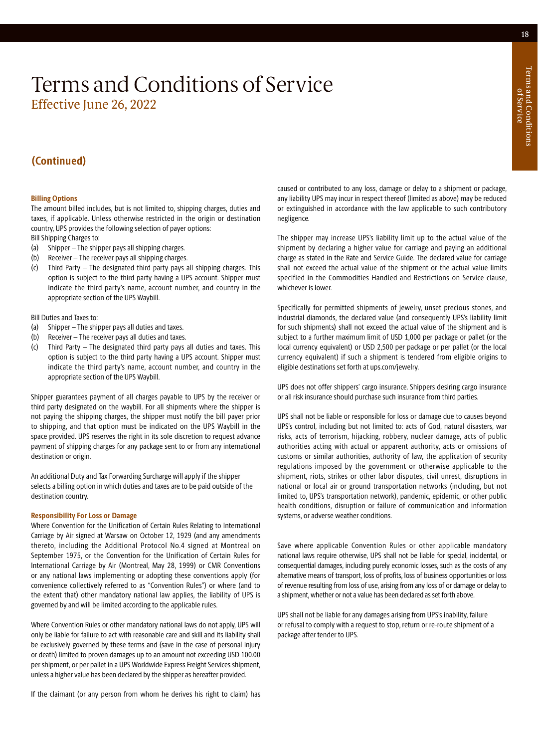### **(Continued)**

### **Billing Options**

The amount billed includes, but is not limited to, shipping charges, duties and taxes, if applicable. Unless otherwise restricted in the origin or destination country, UPS provides the following selection of payer options:

Bill Shipping Charges to:

- (a) Shipper The shipper pays all shipping charges.
- (b) Receiver The receiver pays all shipping charges.
- (c) Third Party The designated third party pays all shipping charges. This option is subject to the third party having a UPS account. Shipper must indicate the third party's name, account number, and country in the appropriate section of the UPS Waybill.

Bill Duties and Taxes to:

- (a) Shipper The shipper pays all duties and taxes.
- (b) Receiver The receiver pays all duties and taxes.
- (c) Third Party The designated third party pays all duties and taxes. This option is subject to the third party having a UPS account. Shipper must indicate the third party's name, account number, and country in the appropriate section of the UPS Waybill.

Shipper guarantees payment of all charges payable to UPS by the receiver or third party designated on the waybill. For all shipments where the shipper is not paying the shipping charges, the shipper must notify the bill payer prior to shipping, and that option must be indicated on the UPS Waybill in the space provided. UPS reserves the right in its sole discretion to request advance payment of shipping charges for any package sent to or from any international destination or origin.

An additional Duty and Tax Forwarding Surcharge will apply if the shipper selects a billing option in which duties and taxes are to be paid outside of the destination country.

### **Responsibility For Loss or Damage**

Where Convention for the Unification of Certain Rules Relating to International Carriage by Air signed at Warsaw on October 12, 1929 (and any amendments thereto, including the Additional Protocol No.4 signed at Montreal on September 1975, or the Convention for the Unification of Certain Rules for International Carriage by Air (Montreal, May 28, 1999) or CMR Conventions or any national laws implementing or adopting these conventions apply (for convenience collectively referred to as "Convention Rules") or where (and to the extent that) other mandatory national law applies, the liability of UPS is governed by and will be limited according to the applicable rules.

Where Convention Rules or other mandatory national laws do not apply, UPS will only be liable for failure to act with reasonable care and skill and its liability shall be exclusively governed by these terms and (save in the case of personal injury or death) limited to proven damages up to an amount not exceeding USD 100.00 per shipment, or per pallet in a UPS Worldwide Express Freight Services shipment, unless a higher value has been declared by the shipper as hereafter provided.

If the claimant (or any person from whom he derives his right to claim) has

caused or contributed to any loss, damage or delay to a shipment or package, any liability UPS may incur in respect thereof (limited as above) may be reduced or extinguished in accordance with the law applicable to such contributory negligence.

The shipper may increase UPS's liability limit up to the actual value of the shipment by declaring a higher value for carriage and paying an additional charge as stated in the Rate and Service Guide. The declared value for carriage shall not exceed the actual value of the shipment or the actual value limits specified in the Commodities Handled and Restrictions on Service clause, whichever is lower.

Specifically for permitted shipments of jewelry, unset precious stones, and industrial diamonds, the declared value (and consequently UPS's liability limit for such shipments) shall not exceed the actual value of the shipment and is subject to a further maximum limit of USD 1,000 per package or pallet (or the local currency equivalent) or USD 2,500 per package or per pallet (or the local currency equivalent) if such a shipment is tendered from eligible origins to eligible destinations set forth at [ups.com/jewelry](https://www.ups.com/jewelry).

UPS does not offer shippers' cargo insurance. Shippers desiring cargo insurance or all risk insurance should purchase such insurance from third parties.

UPS shall not be liable or responsible for loss or damage due to causes beyond UPS's control, including but not limited to: acts of God, natural disasters, war risks, acts of terrorism, hijacking, robbery, nuclear damage, acts of public authorities acting with actual or apparent authority, acts or omissions of customs or similar authorities, authority of law, the application of security regulations imposed by the government or otherwise applicable to the shipment, riots, strikes or other labor disputes, civil unrest, disruptions in national or local air or ground transportation networks (including, but not limited to, UPS's transportation network), pandemic, epidemic, or other public health conditions, disruption or failure of communication and information systems, or adverse weather conditions.

Save where applicable Convention Rules or other applicable mandatory national laws require otherwise, UPS shall not be liable for special, incidental, or consequential damages, including purely economic losses, such as the costs of any alternative means of transport, loss of profits, loss of business opportunities or loss of revenue resulting from loss of use, arising from any loss of or damage or delay to a shipment, whether or not a value has been declared as set forth above.

UPS shall not be liable for any damages arising from UPS's inability, failure or refusal to comply with a request to stop, return or re-route shipment of a package after tender to UPS.